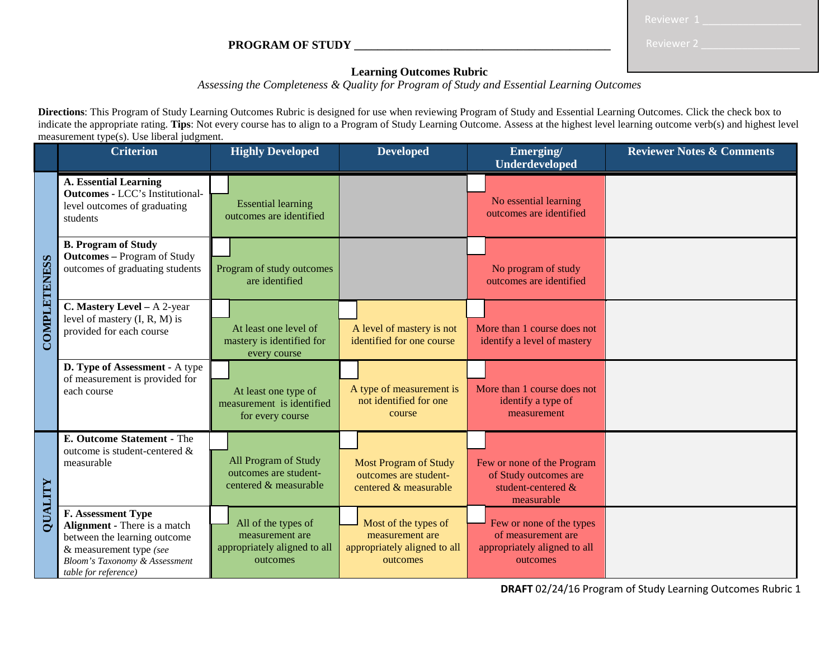**PROGRAM OF STUDY \_\_\_\_\_\_\_\_\_\_\_\_\_\_\_\_\_\_\_\_\_\_\_\_\_\_\_\_\_\_\_\_\_\_\_\_\_\_\_\_\_\_\_\_**

| Reviewer : |  |  |  |  |  |
|------------|--|--|--|--|--|
|            |  |  |  |  |  |

## **Learning Outcomes Rubric**

*Assessing the Completeness & Quality for Program of Study and Essential Learning Outcomes* 

**Directions**: This Program of Study Learning Outcomes Rubric is designed for use when reviewing Program of Study and Essential Learning Outcomes. Click the check box to indicate the appropriate rating. **Tips**: Not every course has to align to a Program of Study Learning Outcome. Assess at the highest level learning outcome verb(s) and highest level measurement type(s). Use liberal judgment.

|                     | <b>Criterion</b>                                                                                                                                                                         | <b>Highly Developed</b>                                                            | <b>Developed</b>                                                                    | Emerging/<br><b>Underdeveloped</b>                                                         | <b>Reviewer Notes &amp; Comments</b> |
|---------------------|------------------------------------------------------------------------------------------------------------------------------------------------------------------------------------------|------------------------------------------------------------------------------------|-------------------------------------------------------------------------------------|--------------------------------------------------------------------------------------------|--------------------------------------|
| <b>COMPLETENESS</b> | <b>A. Essential Learning</b><br><b>Outcomes - LCC's Institutional-</b><br>level outcomes of graduating<br>students                                                                       | <b>Essential learning</b><br>outcomes are identified                               |                                                                                     | No essential learning<br>outcomes are identified                                           |                                      |
|                     | <b>B. Program of Study</b><br><b>Outcomes</b> – Program of Study<br>outcomes of graduating students                                                                                      | Program of study outcomes<br>are identified                                        |                                                                                     | No program of study<br>outcomes are identified                                             |                                      |
|                     | C. Mastery Level - A 2-year<br>level of mastery $(I, R, M)$ is<br>provided for each course                                                                                               | At least one level of<br>mastery is identified for<br>every course                 | A level of mastery is not<br>identified for one course                              | More than 1 course does not<br>identify a level of mastery                                 |                                      |
|                     | D. Type of Assessment - A type<br>of measurement is provided for<br>each course                                                                                                          | At least one type of<br>measurement is identified<br>for every course              | A type of measurement is<br>not identified for one<br>course                        | More than 1 course does not<br>identify a type of<br>measurement                           |                                      |
| QUALITY             | <b>E. Outcome Statement - The</b><br>outcome is student-centered &<br>measurable                                                                                                         | All Program of Study<br>outcomes are student-<br>centered & measurable             | <b>Most Program of Study</b><br>outcomes are student-<br>centered & measurable      | Few or none of the Program<br>of Study outcomes are<br>student-centered &<br>measurable    |                                      |
|                     | <b>F. Assessment Type</b><br>Alignment - There is a match<br>between the learning outcome<br>& measurement type (see<br><b>Bloom's Taxonomy &amp; Assessment</b><br>table for reference) | All of the types of<br>measurement are<br>appropriately aligned to all<br>outcomes | Most of the types of<br>measurement are<br>appropriately aligned to all<br>outcomes | Few or none of the types<br>of measurement are<br>appropriately aligned to all<br>outcomes |                                      |

**DRAFT** 02/24/16 Program of Study Learning Outcomes Rubric 1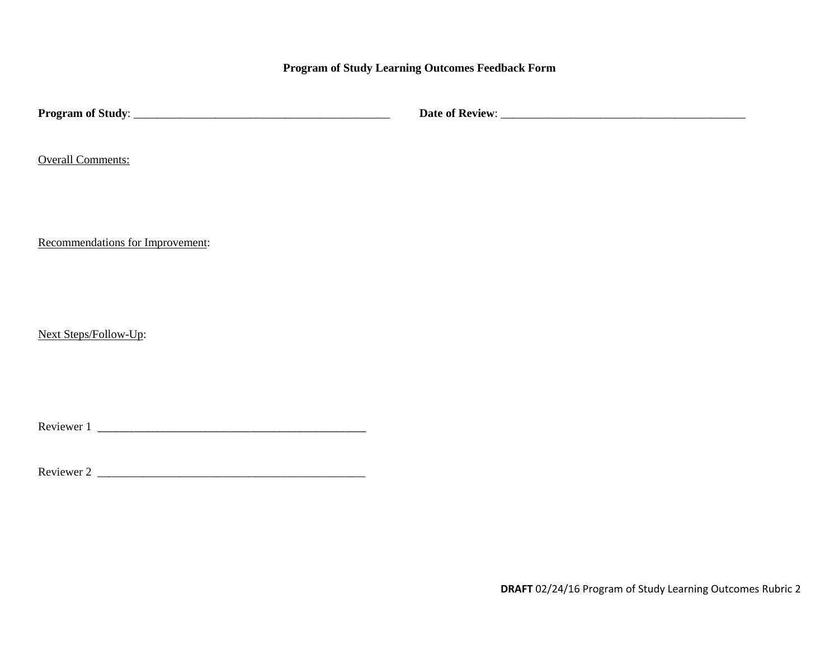**Program of Study Learning Outcomes Feedback Form** 

| <b>Overall Comments:</b>         |  |
|----------------------------------|--|
| Recommendations for Improvement: |  |
| Next Steps/Follow-Up:            |  |
|                                  |  |
|                                  |  |